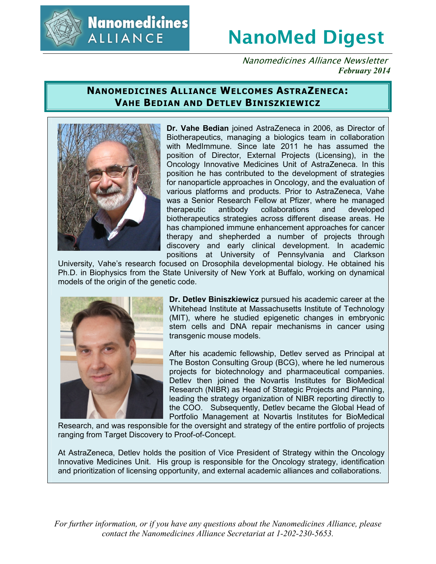

**Nanomedicines ALLIANCE** 

# **NanoMed Digest**

Nanomedicines Alliance Newsletter *February 2014*

# **NANOMEDICINES ALLIANCE WELCOMES ASTRAZENECA: VAHE BEDIAN AND DETLEV BINISZKIEWICZ**



**Dr. Vahe Bedian** joined AstraZeneca in 2006, as Director of Biotherapeutics, managing a biologics team in collaboration with MedImmune. Since late 2011 he has assumed the position of Director, External Projects (Licensing), in the Oncology Innovative Medicines Unit of AstraZeneca. In this position he has contributed to the development of strategies for nanoparticle approaches in Oncology, and the evaluation of various platforms and products. Prior to AstraZeneca, Vahe was a Senior Research Fellow at Pfizer, where he managed therapeutic antibody collaborations and developed biotherapeutics strategies across different disease areas. He has championed immune enhancement approaches for cancer therapy and shepherded a number of projects through discovery and early clinical development. In academic positions at University of Pennsylvania and Clarkson

University, Vahe's research focused on Drosophila developmental biology. He obtained his Ph.D. in Biophysics from the State University of New York at Buffalo, working on dynamical models of the origin of the genetic code.



**Dr. Detlev Biniszkiewicz** pursued his academic career at the Whitehead Institute at Massachusetts Institute of Technology (MIT), where he studied epigenetic changes in embryonic stem cells and DNA repair mechanisms in cancer using transgenic mouse models.

After his academic fellowship, Detlev served as Principal at The Boston Consulting Group (BCG), where he led numerous projects for biotechnology and pharmaceutical companies. Detlev then joined the Novartis Institutes for BioMedical Research (NIBR) as Head of Strategic Projects and Planning, leading the strategy organization of NIBR reporting directly to the COO. Subsequently, Detlev became the Global Head of Portfolio Management at Novartis Institutes for BioMedical

Research, and was responsible for the oversight and strategy of the entire portfolio of projects ranging from Target Discovery to Proof-of-Concept.

At AstraZeneca, Detlev holds the position of Vice President of Strategy within the Oncology Innovative Medicines Unit. His group is responsible for the Oncology strategy, identification and prioritization of licensing opportunity, and external academic alliances and collaborations.

*For further information, or if you have any questions about the Nanomedicines Alliance, please contact the Nanomedicines Alliance Secretariat at 1-202-230-5653.*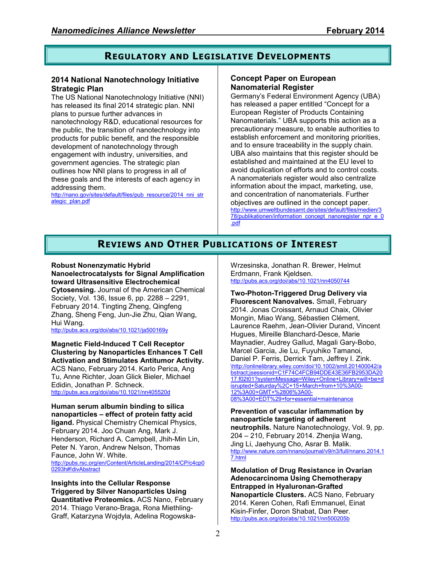# **REGULATORY AND LEGISLATIVE DEVELOPMENTS**

### **2014 National Nanotechnology Initiative Strategic Plan**

The US National Nanotechnology Initiative (NNI) has released its final 2014 strategic plan. NNI plans to pursue further advances in nanotechnology R&D, educational resources for the public, the transition of nanotechnology into products for public benefit, and the responsible development of nanotechnology through engagement with industry, universities, and government agencies. The strategic plan outlines how NNI plans to progress in all of these goals and the interests of each agency in addressing them.

http://nano.gov/sites/default/files/pub\_resource/2014\_nni\_str ategic\_plan.pdf

### **Concept Paper on European Nanomaterial Register**

Germany's Federal Environment Agency (UBA) has released a paper entitled "Concept for a European Register of Products Containing Nanomaterials." UBA supports this action as a precautionary measure, to enable authorities to establish enforcement and monitoring priorities, and to ensure traceability in the supply chain. UBA also maintains that this register should be established and maintained at the EU level to avoid duplication of efforts and to control costs. A nanomaterials register would also centralize information about the impact, marketing, use, and concentration of nanomaterials. Further objectives are outlined in the concept paper. http://www.umweltbundesamt.de/sites/default/files/medien/3 78/publikationen/information\_concept\_nanoregister\_npr\_e\_0 .pdf

# **REVIEWS AND OTHER PUBLICATIONS OF INTEREST**

#### **Robust Nonenzymatic Hybrid Nanoelectrocatalysts for Signal Amplification toward Ultrasensitive Electrochemical**

**Cytosensing.** Journal of the American Chemical Society, Vol. 136, Issue 6, pp. 2288 – 2291, February 2014. Tingting Zheng, Qingfeng Zhang, Sheng Feng, Jun-Jie Zhu, Qian Wang, Hui Wang.

http://pubs.acs.org/doi/abs/10.1021/ja500169y

**Magnetic Field-Induced T Cell Receptor Clustering by Nanoparticles Enhances T Cell Activation and Stimulates Antitumor Activity.** ACS Nano, February 2014. Karlo Perica, Ang Tu, Anne Richter, Joan Glick Bieler, Michael Edidin, Jonathan P. Schneck. http://pubs.acs.org/doi/abs/10.1021/nn405520d

**Human serum albumin binding to silica nanoparticles – effect of protein fatty acid ligand.** Physical Chemistry Chemical Physics, February 2014. Joo Chuan Ang, Mark J. Henderson, Richard A. Campbell, Jhih-Min Lin, Peter N. Yaron, Andrew Nelson, Thomas Faunce, John W. White. http://pubs.rsc.org/en/Content/ArticleLanding/2014/CP/c4cp0 0293h#!divAbstract

**Insights into the Cellular Response Triggered by Silver Nanoparticles Using Quantitative Proteomics.** ACS Nano, February 2014. Thiago Verano-Braga, Rona Miethling-Graff, Katarzyna Wojdyla, Adelina RogowskaWrzesinska, Jonathan R. Brewer, Helmut Erdmann, Frank Kjeldsen. http://pubs.acs.org/doi/abs/10.1021/nn4050744

**Two-Photon-Triggered Drug Delivery via Fluorescent Nanovalves.** Small, February 2014. Jonas Croissant, Arnaud Chaix, Olivier Mongin, Miao Wang, Sébastien Clément, Laurence Raehm, Jean-Olivier Durand, Vincent Hugues, Mireille Blanchard-Desce, Marie Maynadier, Audrey Gallud, Magali Gary-Bobo, Marcel Garcia, Jie Lu, Fuyuhiko Tamanoi, Daniel P. Ferris, Derrick Tarn, Jeffrey I. Zink. \http://onlinelibrary.wiley.com/doi/10.1002/smll.201400042/a bstract;jsessionid=C1F74C4FCB94DDE43E36FB2953DA20 17.f02t01?systemMessage=Wiley+Online+Library+will+be+d isrupted+Saturday%2C+15+March+from+10%3A00- 12%3A00+GMT+%2806%3A00- 08%3A00+EDT%29+for+essential+maintenance

**Prevention of vascular inflammation by nanoparticle targeting of adherent neutrophils.** Nature Nanotechnology, Vol. 9, pp. 204 – 210, February 2014. Zhenjia Wang, Jing Li, Jaehyung Cho, Asrar B. Malik. http://www.nature.com/nnano/journal/v9/n3/full/nnano.2014.1 7.html

**Modulation of Drug Resistance in Ovarian Adenocarcinoma Using Chemotherapy Entrapped in Hyaluronan-Grafted Nanoparticle Clusters.** ACS Nano, February 2014. Keren Cohen, Rafi Emmanuel, Einat Kisin-Finfer, Doron Shabat, Dan Peer. http://pubs.acs.org/doi/abs/10.1021/nn500205b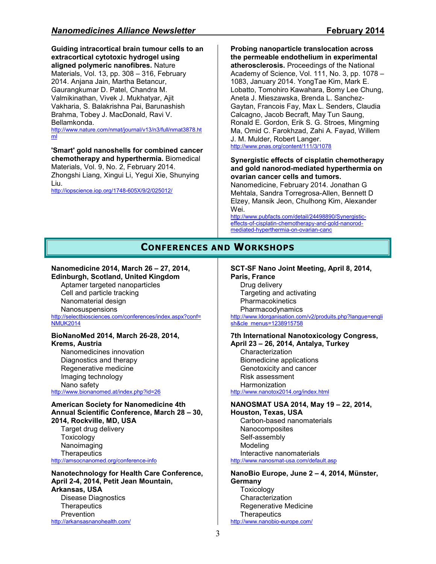**Guiding intracortical brain tumour cells to an extracortical cytotoxic hydrogel using aligned polymeric nanofibres.** Nature Materials, Vol. 13, pp. 308 – 316, February 2014. Anjana Jain, Martha Betancur, Gaurangkumar D. Patel, Chandra M. Valmikinathan, Vivek J. Mukhatyar, Ajit Vakharia, S. Balakrishna Pai, Barunashish Brahma, Tobey J. MacDonald, Ravi V. Bellamkonda.

http://www.nature.com/nmat/journal/v13/n3/full/nmat3878.ht ml

**'Smart' gold nanoshells for combined cancer chemotherapy and hyperthermia.** Biomedical Materials, Vol. 9, No. 2, February 2014. Zhongshi Liang, Xingui Li, Yegui Xie, Shunying Liu.

http://iopscience.iop.org/1748-605X/9/2/025012/

**Probing nanoparticle translocation across the permeable endothelium in experimental atherosclerosis.** Proceedings of the National Academy of Science, Vol. 111, No. 3, pp. 1078 – 1083, January 2014. YongTae Kim, Mark E. Lobatto, Tomohiro Kawahara, Bomy Lee Chung, Aneta J. Mieszawska, Brenda L. Sanchez-Gaytan, Francois Fay, Max L. Senders, Claudia Calcagno, Jacob Becraft, May Tun Saung, Ronald E. Gordon, Erik S. G. Stroes, Mingming Ma, Omid C. Farokhzad, Zahi A. Fayad, Willem J. M. Mulder, Robert Langer. http://www.pnas.org/content/111/3/1078

#### **Synergistic effects of cisplatin chemotherapy and gold nanorod-mediated hyperthermia on ovarian cancer cells and tumors.**

Nanomedicine, February 2014. Jonathan G Mehtala, Sandra Torregrosa-Allen, Bennett D Elzey, Mansik Jeon, Chulhong Kim, Alexander Wei.

http://www.pubfacts.com/detail/24498890/Synergisticeffects-of-cisplatin-chemotherapy-and-gold-nanorodmediated-hyperthermia-on-ovarian-canc

## **CONFERENCES AND WORKSHOPS**

#### **Nanomedicine 2014, March 26 – 27, 2014, Edinburgh, Scotland, United Kingdom**

Aptamer targeted nanoparticles Cell and particle tracking Nanomaterial design Nanosuspensions

http://selectbiosciences.com/conferences/index.aspx?conf= NMUK2014

#### **BioNanoMed 2014, March 26-28, 2014, Krems, Austria**

Nanomedicines innovation Diagnostics and therapy Regenerative medicine Imaging technology Nano safety http://www.bionanomed.at/index.php?id=26

#### **American Society for Nanomedicine 4th Annual Scientific Conference, March 28 – 30, 2014, Rockville, MD, USA**

Target drug delivery **Toxicology** Nanoimaging **Therapeutics** http://amsocnanomed.org/conference-info

**Nanotechnology for Health Care Conference, April 2-4, 2014, Petit Jean Mountain, Arkansas, USA**  Disease Diagnostics **Therapeutics** 

**Prevention** http://arkansasnanohealth.com/

## **SCT-SF Nano Joint Meeting, April 8, 2014,**

**Paris, France** 

Drug delivery Targeting and activating **Pharmacokinetics** Pharmacodynamics http://www.ldorganisation.com/v2/produits.php?langue=engli sh&cle\_menus=1238915758

#### **7th International Nanotoxicology Congress, April 23 – 26, 2014, Antalya, Turkey**

**Characterization** Biomedicine applications Genotoxicity and cancer Risk assessment Harmonization http://www.nanotox2014.org/index.html

## **NANOSMAT USA 2014, May 19 – 22, 2014,**

**Houston, Texas, USA**  Carbon-based nanomaterials **Nanocomposites** Self-assembly Modeling

Interactive nanomaterials http://www.nanosmat-usa.com/default.asp

### **NanoBio Europe, June 2 – 4, 2014, Münster, Germany Toxicology Characterization**

Regenerative Medicine **Therapeutics** http://www.nanobio-europe.com/